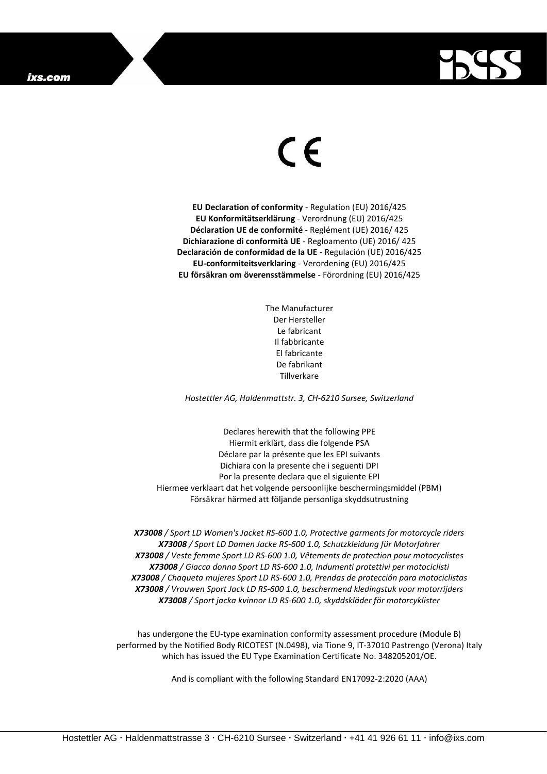

## $\epsilon$

**EU Declaration of conformity** - Regulation (EU) 2016/425 **EU Konformitätserklärung** - Verordnung (EU) 2016/425 **Déclaration UE de conformité** - Reglément (UE) 2016/ 425 **Dichiarazione di conformità UE** - Regloamento (UE) 2016/ 425 **Declaración de conformidad de la UE** - Regulación (UE) 2016/425 **EU-conformiteitsverklaring** - Verordening (EU) 2016/425 **EU försäkran om överensstämmelse** - Förordning (EU) 2016/425

> The Manufacturer Der Hersteller Le fabricant Il fabbricante El fabricante De fabrikant Tillverkare

*Hostettler AG, Haldenmattstr. 3, CH-6210 Sursee, Switzerland*

Declares herewith that the following PPE Hiermit erklärt, dass die folgende PSA Déclare par la présente que les EPI suivants Dichiara con la presente che i seguenti DPI Por la presente declara que el siguiente EPI Hiermee verklaart dat het volgende persoonlijke beschermingsmiddel (PBM) Försäkrar härmed att följande personliga skyddsutrustning

*X73008 / Sport LD Women's Jacket RS-600 1.0, Protective garments for motorcycle riders X73008 / Sport LD Damen Jacke RS-600 1.0, Schutzkleidung für Motorfahrer X73008 / Veste femme Sport LD RS-600 1.0, Vêtements de protection pour motocyclistes X73008 / Giacca donna Sport LD RS-600 1.0, Indumenti protettivi per motociclisti X73008 / Chaqueta mujeres Sport LD RS-600 1.0, Prendas de protección para motociclistas X73008 / Vrouwen Sport Jack LD RS-600 1.0, beschermend kledingstuk voor motorrijders X73008 / Sport jacka kvinnor LD RS-600 1.0, skyddskläder för motorcyklister*

has undergone the EU-type examination conformity assessment procedure (Module B) performed by the Notified Body RICOTEST (N.0498), via Tione 9, IT-37010 Pastrengo (Verona) Italy which has issued the EU Type Examination Certificate No. 348205201/OE.

And is compliant with the following Standard EN17092-2:2020 (AAA)